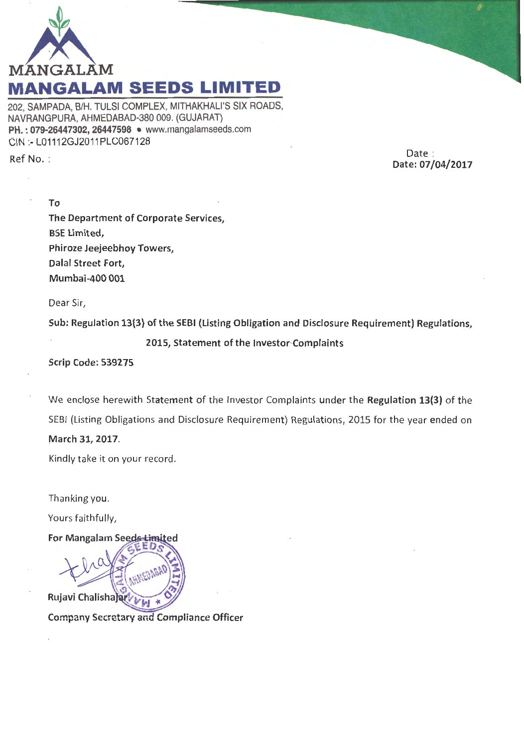

202, SAMPADA, 8/H. TULSI COMPLEX, MITHAKHALI'S SIX ROADS, NAVRANGPURA, AHMEDABAD-380 009. (GUJARAT) PH.: 079-26447302, 26447598 • www.mangalamseeds.com CIN :- L01112GJ2011PLC067128

Ref No. :

Date : Date: 07/04/2017

To The Department of Corporate Services, BSE Limited, Phiroze Jeejeebhoy Towers, Dalal Street Fort, Mumbai-400 001

Dear Sir,

Sub: Regulation 13(3) of the SEBI (Listing Obligation and Disclosure Requirement) Regulations,

## 2015, Statement of the lnvestor·Complaints

Scrip Code: 539275

We enclose herewith Statement of the Investor Complaints under the Regulation 13(3) of the SEBI (Listing Obligations and Disclosure Requirement) Regulations, 2015 for the year ended on .March 31, 2017.

Kindly take it on your record.

Thanking you.

Yours faithfully,

For Mangalam Seeds Limited **Rujavi Chalishaja** 

Company Secretary and Compliance Officer